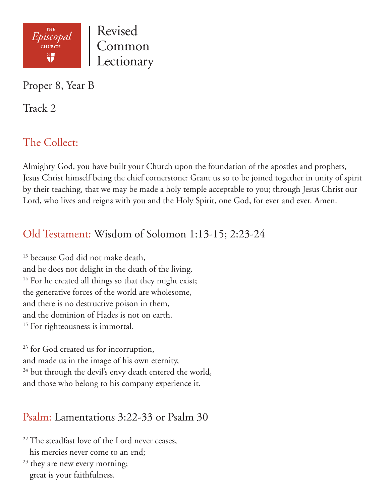

Proper 8, Year B

Track 2

# The Collect:

Almighty God, you have built your Church upon the foundation of the apostles and prophets, Jesus Christ himself being the chief cornerstone: Grant us so to be joined together in unity of spirit by their teaching, that we may be made a holy temple acceptable to you; through Jesus Christ our Lord, who lives and reigns with you and the Holy Spirit, one God, for ever and ever. Amen.

## Old Testament: Wisdom of Solomon 1:13-15; 2:23-24

<sup>13</sup> because God did not make death, and he does not delight in the death of the living. <sup>14</sup> For he created all things so that they might exist; the generative forces of the world are wholesome, and there is no destructive poison in them, and the dominion of Hades is not on earth. <sup>15</sup> For righteousness is immortal.

<sup>23</sup> for God created us for incorruption, and made us in the image of his own eternity, <sup>24</sup> but through the devil's envy death entered the world, and those who belong to his company experience it.

## Psalm: Lamentations 3:22-33 or Psalm 30

<sup>22</sup> The steadfast love of the Lord never ceases, his mercies never come to an end;

 $23$  they are new every morning; great is your faithfulness.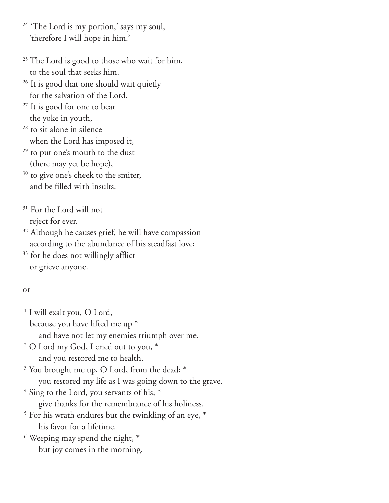- <sup>24</sup> 'The Lord is my portion,' says my soul, 'therefore I will hope in him.'
- <sup>25</sup> The Lord is good to those who wait for him, to the soul that seeks him.
- <sup>26</sup> It is good that one should wait quietly for the salvation of the Lord.
- <sup>27</sup> It is good for one to bear the yoke in youth,
- <sup>28</sup> to sit alone in silence when the Lord has imposed it,
- <sup>29</sup> to put one's mouth to the dust (there may yet be hope),
- <sup>30</sup> to give one's cheek to the smiter, and be filled with insults.
- <sup>31</sup> For the Lord will not reject for ever.
- <sup>32</sup> Although he causes grief, he will have compassion according to the abundance of his steadfast love;
- <sup>33</sup> for he does not willingly afflict or grieve anyone.

#### or

- <sup>1</sup> I will exalt you, O Lord, because you have lifted me up \* and have not let my enemies triumph over me. 2 O Lord my God, I cried out to you, \* and you restored me to health. <sup>3</sup> You brought me up, O Lord, from the dead; \* you restored my life as I was going down to the grave. <sup>4</sup> Sing to the Lord, you servants of his; \* give thanks for the remembrance of his holiness. 5 For his wrath endures but the twinkling of an eye, \* his favor for a lifetime.
- <sup>6</sup> Weeping may spend the night,  $*$ but joy comes in the morning.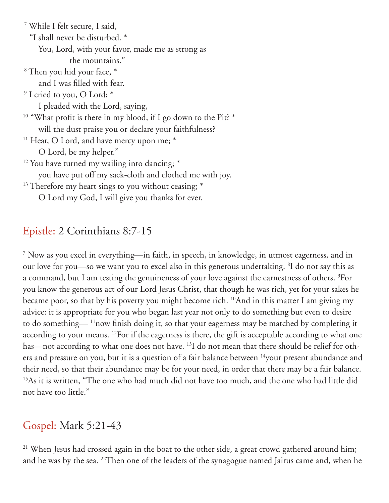7 While I felt secure, I said, "I shall never be disturbed. \* You, Lord, with your favor, made me as strong as the mountains." 8 Then you hid your face, \* and I was filled with fear. <sup>9</sup> I cried to you, O Lord; \* I pleaded with the Lord, saying, <sup>10</sup> "What profit is there in my blood, if I go down to the Pit? \* will the dust praise you or declare your faithfulness? <sup>11</sup> Hear, O Lord, and have mercy upon me; \* O Lord, be my helper."  $12$  You have turned my wailing into dancing;  $*$  you have put off my sack-cloth and clothed me with joy. <sup>13</sup> Therefore my heart sings to you without ceasing; \* O Lord my God, I will give you thanks for ever.

### Epistle: 2 Corinthians 8:7-15

7 Now as you excel in everything—in faith, in speech, in knowledge, in utmost eagerness, and in our love for you—so we want you to excel also in this generous undertaking. <sup>8</sup>I do not say this as a command, but I am testing the genuineness of your love against the earnestness of others. 9 For you know the generous act of our Lord Jesus Christ, that though he was rich, yet for your sakes he became poor, so that by his poverty you might become rich. 10And in this matter I am giving my advice: it is appropriate for you who began last year not only to do something but even to desire to do something— 11now finish doing it, so that your eagerness may be matched by completing it according to your means. 12For if the eagerness is there, the gift is acceptable according to what one has—not according to what one does not have. <sup>13</sup>I do not mean that there should be relief for others and pressure on you, but it is a question of a fair balance between <sup>14</sup>your present abundance and their need, so that their abundance may be for your need, in order that there may be a fair balance. <sup>15</sup>As it is written, "The one who had much did not have too much, and the one who had little did not have too little."

## Gospel: Mark 5:21-43

<sup>21</sup> When Jesus had crossed again in the boat to the other side, a great crowd gathered around him; and he was by the sea. 22Then one of the leaders of the synagogue named Jairus came and, when he